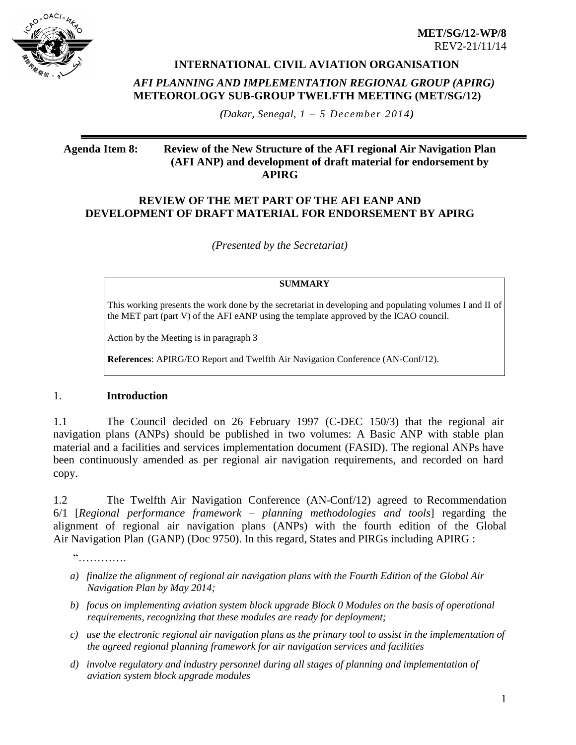

**INTERNATIONAL CIVIL AVIATION ORGANISATION** 

### *AFI PLANNING AND IMPLEMENTATION REGIONAL GROUP (APIRG)* **METEOROLOGY SUB-GROUP TWELFTH MEETING (MET/SG/12)**

*(Dakar, Senegal, 1 – 5 December 2014)*

### **Agenda Item 8: Review of the New Structure of the AFI regional Air Navigation Plan (AFI ANP) and development of draft material for endorsement by APIRG**

### **REVIEW OF THE MET PART OF THE AFI EANP AND DEVELOPMENT OF DRAFT MATERIAL FOR ENDORSEMENT BY APIRG**

*(Presented by the Secretariat)*

#### **SUMMARY**

This working presents the work done by the secretariat in developing and populating volumes I and II of the MET part (part V) of the AFI eANP using the template approved by the ICAO council.

Action by the Meeting is in paragraph 3

**References**: APIRG/EO Report and Twelfth Air Navigation Conference (AN-Conf/12).

# 1. **Introduction**

1.1 The Council decided on 26 February 1997 (C-DEC 150/3) that the regional air navigation plans (ANPs) should be published in two volumes: A Basic ANP with stable plan material and a facilities and services implementation document (FASID). The regional ANPs have been continuously amended as per regional air navigation requirements, and recorded on hard copy.

1.2 The Twelfth Air Navigation Conference (AN-Conf/12) agreed to Recommendation 6/1 [*Regional performance framework – planning methodologies and tools*] regarding the alignment of regional air navigation plans (ANPs) with the fourth edition of the Global Air Navigation Plan (GANP) (Doc 9750). In this regard, States and PIRGs including APIRG :

"………….

- *a) finalize the alignment of regional air navigation plans with the Fourth Edition of the Global Air Navigation Plan by May 2014;*
- *b) focus on implementing aviation system block upgrade Block 0 Modules on the basis of operational requirements, recognizing that these modules are ready for deployment;*
- *c) use the electronic regional air navigation plans as the primary tool to assist in the implementation of the agreed regional planning framework for air navigation services and facilities*
- *d) involve regulatory and industry personnel during all stages of planning and implementation of aviation system block upgrade modules*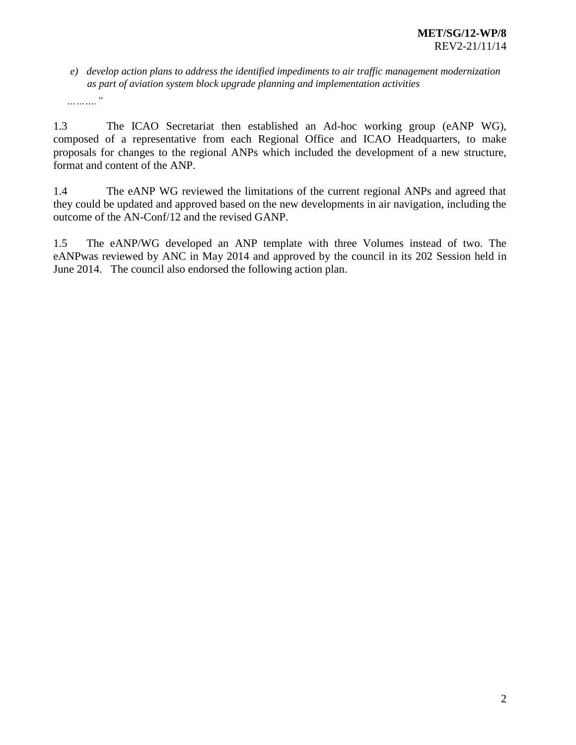*e) develop action plans to address the identified impediments to air traffic management modernization as part of aviation system block upgrade planning and implementation activities*

*………."*

1.3 The ICAO Secretariat then established an Ad-hoc working group (eANP WG), composed of a representative from each Regional Office and ICAO Headquarters, to make proposals for changes to the regional ANPs which included the development of a new structure, format and content of the ANP.

1.4 The eANP WG reviewed the limitations of the current regional ANPs and agreed that they could be updated and approved based on the new developments in air navigation, including the outcome of the AN-Conf/12 and the revised GANP.

1.5 The eANP/WG developed an ANP template with three Volumes instead of two. The eANPwas reviewed by ANC in May 2014 and approved by the council in its 202 Session held in June 2014. The council also endorsed the following action plan.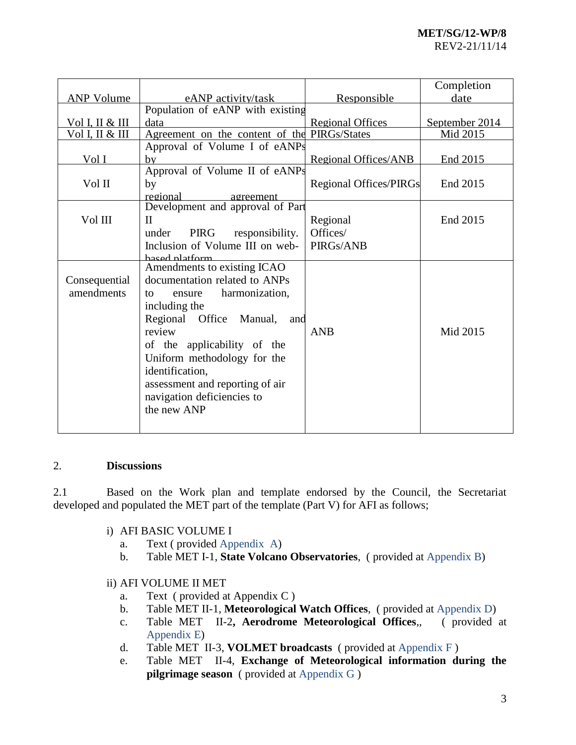|                   |                                              |                               | Completion     |
|-------------------|----------------------------------------------|-------------------------------|----------------|
| <b>ANP Volume</b> | eANP activity/task                           | Responsible                   | date           |
|                   | Population of eANP with existing             |                               |                |
| Vol I, II & III   | data                                         | <b>Regional Offices</b>       | September 2014 |
| Vol I, II & III   | Agreement on the content of the PIRGs/States |                               | Mid 2015       |
|                   | Approval of Volume I of eANPs                |                               |                |
| Vol I             | bv                                           | <b>Regional Offices/ANB</b>   | End 2015       |
|                   | Approval of Volume II of eANPs               |                               |                |
| Vol II            | by                                           | <b>Regional Offices/PIRGs</b> | End 2015       |
|                   | regional<br>agreement                        |                               |                |
|                   | Development and approval of Part             |                               |                |
| Vol III           | $\mathbf{I}$                                 | Regional                      | End 2015       |
|                   | under<br>PIRG<br>responsibility.             | Offices/                      |                |
|                   | Inclusion of Volume III on web-              | PIRGs/ANB                     |                |
|                   | hased platform                               |                               |                |
|                   | Amendments to existing ICAO                  |                               |                |
| Consequential     | documentation related to ANPs                |                               |                |
| amendments        | harmonization,<br>ensure<br>to               |                               |                |
|                   | including the                                |                               |                |
|                   | Regional Office<br>Manual,<br>and            |                               |                |
|                   | review                                       | <b>ANB</b>                    | Mid 2015       |
|                   | of the applicability of the                  |                               |                |
|                   | Uniform methodology for the                  |                               |                |
|                   | identification,                              |                               |                |
|                   | assessment and reporting of air              |                               |                |
|                   | navigation deficiencies to                   |                               |                |
|                   |                                              |                               |                |
|                   | the new ANP                                  |                               |                |
|                   |                                              |                               |                |

## 2. **Discussions**

2.1 Based on the Work plan and template endorsed by the Council, the Secretariat developed and populated the MET part of the template (Part V) for AFI as follows;

### i) AFI BASIC VOLUME I

- a. Text ( provided Appendix A)
- b. Table MET I-1, **State Volcano Observatories**, ( provided at Appendix B)

# ii) AFI VOLUME II MET

- a. Text ( provided at Appendix C )
- b. Table MET II-1, **Meteorological Watch Offices**, ( provided at Appendix D)
- c. Table MET II-2**, Aerodrome Meteorological Offices**,, ( provided at Appendix E)
- d. Table MET II-3, **VOLMET broadcasts** ( provided at Appendix F )
- e. Table MET II-4, **Exchange of Meteorological information during the pilgrimage season** ( provided at Appendix G )